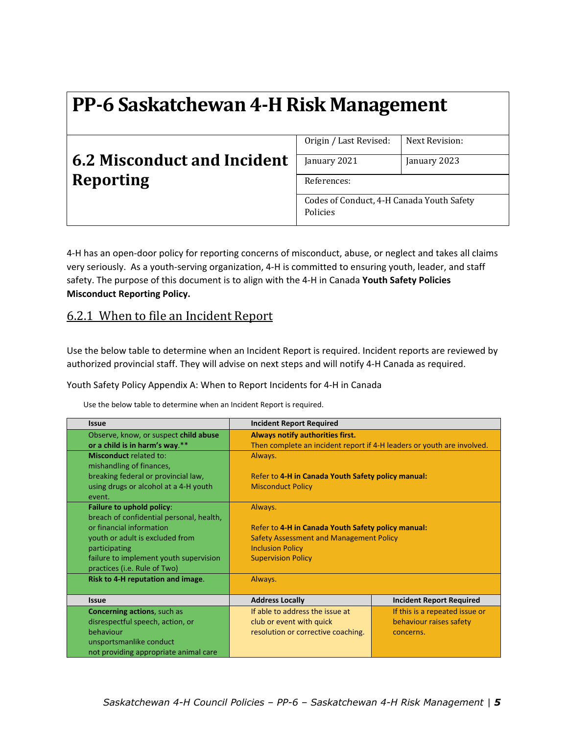## **6.2 Misconduct and Incident Reporting**

| Origin / Last Revised:                    | Next Revision: |  |
|-------------------------------------------|----------------|--|
|                                           |                |  |
| January 2021                              | January 2023   |  |
|                                           |                |  |
| References:                               |                |  |
|                                           |                |  |
| Codes of Conduct, 4-H Canada Youth Safety |                |  |
| Policies                                  |                |  |
|                                           |                |  |
|                                           |                |  |

4-H has an open-door policy for reporting concerns of misconduct, abuse, or neglect and takes all claims very seriously. As a youth‐serving organization, 4‐H is committed to ensuring youth, leader, and staff safety. The purpose of this document is to align with the 4‐H in Canada **Youth Safety Policies Misconduct Reporting Policy.**

#### 6.2.1 When to file an Incident Report

Use the below table to determine when an Incident Report is required. Incident reports are reviewed by authorized provincial staff. They will advise on next steps and will notify 4‐H Canada as required.

Youth Safety Policy Appendix A: When to Report Incidents for 4‐H in Canada

Use the below table to determine when an Incident Report is required.

| <b>Issue</b>                             | <b>Incident Report Required</b>                    |                                                                        |  |
|------------------------------------------|----------------------------------------------------|------------------------------------------------------------------------|--|
| Observe, know, or suspect child abuse    | Always notify authorities first.                   |                                                                        |  |
| or a child is in harm's way.**           |                                                    | Then complete an incident report if 4-H leaders or youth are involved. |  |
| <b>Misconduct related to:</b>            | Always.                                            |                                                                        |  |
| mishandling of finances,                 |                                                    |                                                                        |  |
| breaking federal or provincial law,      | Refer to 4-H in Canada Youth Safety policy manual: |                                                                        |  |
| using drugs or alcohol at a 4-H youth    | <b>Misconduct Policy</b>                           |                                                                        |  |
| event.                                   |                                                    |                                                                        |  |
| Failure to uphold policy:                | Always.                                            |                                                                        |  |
| breach of confidential personal, health, |                                                    |                                                                        |  |
| or financial information                 | Refer to 4-H in Canada Youth Safety policy manual: |                                                                        |  |
| youth or adult is excluded from          | <b>Safety Assessment and Management Policy</b>     |                                                                        |  |
| participating                            | <b>Inclusion Policy</b>                            |                                                                        |  |
| failure to implement youth supervision   | <b>Supervision Policy</b>                          |                                                                        |  |
| practices (i.e. Rule of Two)             |                                                    |                                                                        |  |
| Risk to 4-H reputation and image.        | Always.                                            |                                                                        |  |
|                                          |                                                    |                                                                        |  |
| <b>Issue</b>                             | <b>Address Locally</b>                             | <b>Incident Report Required</b>                                        |  |
| <b>Concerning actions, such as</b>       | If able to address the issue at                    | If this is a repeated issue or                                         |  |
| disrespectful speech, action, or         | club or event with quick                           | behaviour raises safety                                                |  |
| behaviour                                | resolution or corrective coaching.                 | concerns.                                                              |  |
| unsportsmanlike conduct                  |                                                    |                                                                        |  |
| not providing appropriate animal care    |                                                    |                                                                        |  |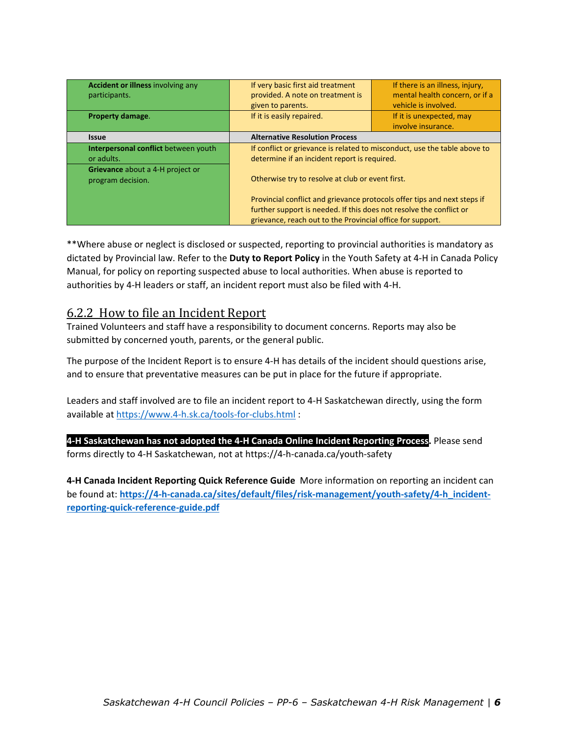| Accident or illness involving any<br>participants.    | If very basic first aid treatment<br>provided. A note on treatment is<br>given to parents.                                                                                                                    | If there is an illness, injury,<br>mental health concern, or if a<br>vehicle is involved. |
|-------------------------------------------------------|---------------------------------------------------------------------------------------------------------------------------------------------------------------------------------------------------------------|-------------------------------------------------------------------------------------------|
| Property damage.                                      | If it is easily repaired.                                                                                                                                                                                     | If it is unexpected, may                                                                  |
|                                                       |                                                                                                                                                                                                               | involve insurance.                                                                        |
| <b>Issue</b>                                          | <b>Alternative Resolution Process</b>                                                                                                                                                                         |                                                                                           |
| Interpersonal conflict between youth                  | If conflict or grievance is related to misconduct, use the table above to                                                                                                                                     |                                                                                           |
| or adults.                                            | determine if an incident report is required.                                                                                                                                                                  |                                                                                           |
| Grievance about a 4-H project or<br>program decision. | Otherwise try to resolve at club or event first.                                                                                                                                                              |                                                                                           |
|                                                       | Provincial conflict and grievance protocols offer tips and next steps if<br>further support is needed. If this does not resolve the conflict or<br>grievance, reach out to the Provincial office for support. |                                                                                           |

\*\*Where abuse or neglect is disclosed or suspected, reporting to provincial authorities is mandatory as dictated by Provincial law. Refer to the **Duty to Report Policy** in the Youth Safety at 4‐H in Canada Policy Manual, for policy on reporting suspected abuse to local authorities. When abuse is reported to authorities by 4‐H leaders or staff, an incident report must also be filed with 4‐H.

#### 6.2.2 How to file an Incident Report

Trained Volunteers and staff have a responsibility to document concerns. Reports may also be submitted by concerned youth, parents, or the general public.

The purpose of the Incident Report is to ensure 4‐H has details of the incident should questions arise, and to ensure that preventative measures can be put in place for the future if appropriate.

Leaders and staff involved are to file an incident report to 4‐H Saskatchewan directly, using the form available at https://www.4‐h.sk.ca/tools‐for‐clubs.html :

**4‐H Saskatchewan has not adopted the 4‐H Canada Online Incident Reporting Process.** Please send forms directly to 4‐H Saskatchewan, not at https://4‐h‐canada.ca/youth‐safety

**4‐H Canada Incident Reporting Quick Reference Guide** More information on reporting an incident can be found at: **https://4‐h‐canada.ca/sites/default/files/risk‐management/youth‐safety/4‐h\_incident‐ reporting‐quick‐reference‐guide.pdf**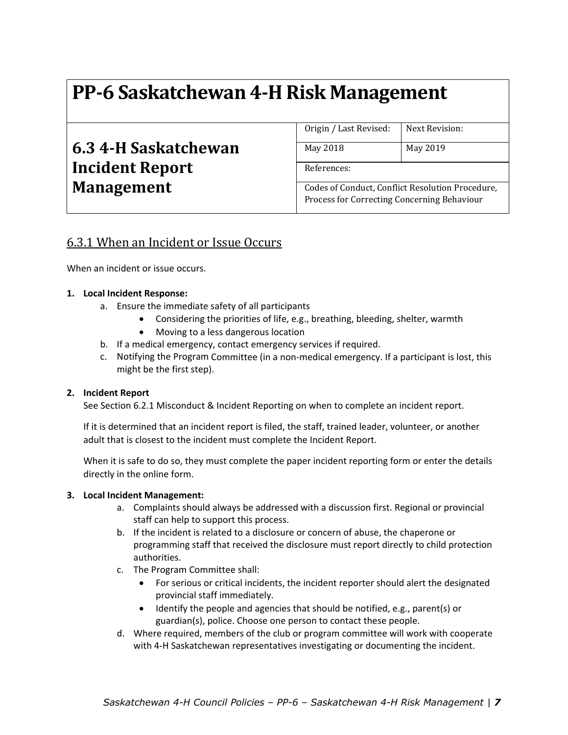| 6.3 4-H Saskatchewan   |
|------------------------|
| <b>Incident Report</b> |
| <b>Management</b>      |

| Origin / Last Revised: | Next Revision: |
|------------------------|----------------|
| May 2018               | May 2019       |

References:

Codes of Conduct, Conflict Resolution Procedure, Process for Correcting Concerning Behaviour

### 6.3.1 When an Incident or Issue Occurs

When an incident or issue occurs.

#### **1. Local Incident Response:**

- a. Ensure the immediate safety of all participants
	- Considering the priorities of life, e.g., breathing, bleeding, shelter, warmth
	- Moving to a less dangerous location
- b. If a medical emergency, contact emergency services if required.
- c. Notifying the Program Committee (in a non‐medical emergency. If a participant is lost, this might be the first step).

#### **2. Incident Report**

See Section 6.2.1 Misconduct & Incident Reporting on when to complete an incident report.

If it is determined that an incident report is filed, the staff, trained leader, volunteer, or another adult that is closest to the incident must complete the Incident Report.

When it is safe to do so, they must complete the paper incident reporting form or enter the details directly in the online form.

#### **3. Local Incident Management:**

- a. Complaints should always be addressed with a discussion first. Regional or provincial staff can help to support this process.
- b. If the incident is related to a disclosure or concern of abuse, the chaperone or programming staff that received the disclosure must report directly to child protection authorities.
- c. The Program Committee shall:
	- For serious or critical incidents, the incident reporter should alert the designated provincial staff immediately.
	- Identify the people and agencies that should be notified, e.g., parent(s) or guardian(s), police. Choose one person to contact these people.
- d. Where required, members of the club or program committee will work with cooperate with 4-H Saskatchewan representatives investigating or documenting the incident.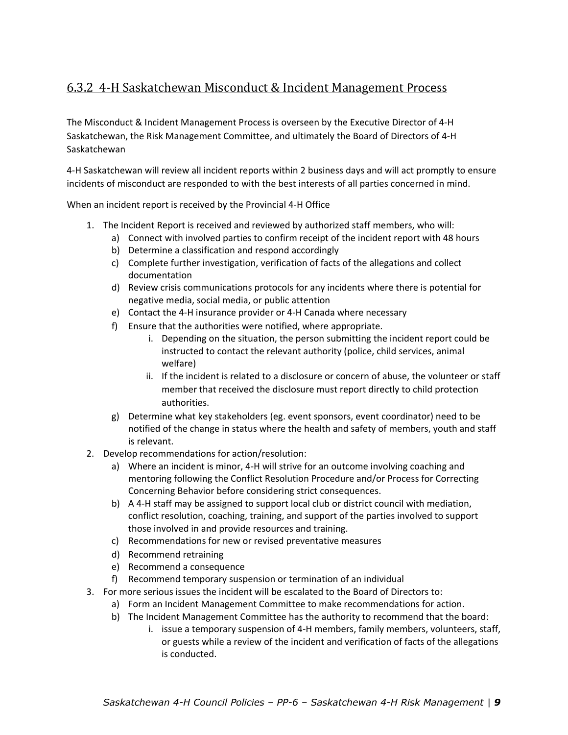## 6.3.2 4-H Saskatchewan Misconduct & Incident Management Process

The Misconduct & Incident Management Process is overseen by the Executive Director of 4‐H Saskatchewan, the Risk Management Committee, and ultimately the Board of Directors of 4‐H Saskatchewan

4‐H Saskatchewan will review all incident reports within 2 business days and will act promptly to ensure incidents of misconduct are responded to with the best interests of all parties concerned in mind.

When an incident report is received by the Provincial 4‐H Office

- 1. The Incident Report is received and reviewed by authorized staff members, who will:
	- a) Connect with involved parties to confirm receipt of the incident report with 48 hours
		- b) Determine a classification and respond accordingly
		- c) Complete further investigation, verification of facts of the allegations and collect documentation
		- d) Review crisis communications protocols for any incidents where there is potential for negative media, social media, or public attention
		- e) Contact the 4‐H insurance provider or 4‐H Canada where necessary
	- f) Ensure that the authorities were notified, where appropriate.
		- i. Depending on the situation, the person submitting the incident report could be instructed to contact the relevant authority (police, child services, animal welfare)
		- ii. If the incident is related to a disclosure or concern of abuse, the volunteer or staff member that received the disclosure must report directly to child protection authorities.
	- g) Determine what key stakeholders (eg. event sponsors, event coordinator) need to be notified of the change in status where the health and safety of members, youth and staff is relevant.
- 2. Develop recommendations for action/resolution:
	- a) Where an incident is minor, 4‐H will strive for an outcome involving coaching and mentoring following the Conflict Resolution Procedure and/or Process for Correcting Concerning Behavior before considering strict consequences.
	- b) A 4‐H staff may be assigned to support local club or district council with mediation, conflict resolution, coaching, training, and support of the parties involved to support those involved in and provide resources and training.
	- c) Recommendations for new or revised preventative measures
	- d) Recommend retraining
	- e) Recommend a consequence
	- f) Recommend temporary suspension or termination of an individual
- 3. For more serious issues the incident will be escalated to the Board of Directors to:
	- a) Form an Incident Management Committee to make recommendations for action.
	- b) The Incident Management Committee has the authority to recommend that the board:
		- i. issue a temporary suspension of 4‐H members, family members, volunteers, staff, or guests while a review of the incident and verification of facts of the allegations is conducted.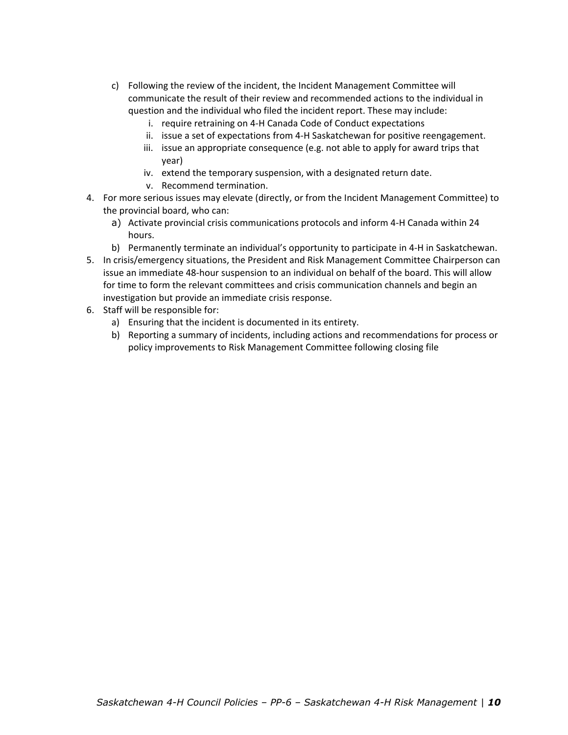- c) Following the review of the incident, the Incident Management Committee will communicate the result of their review and recommended actions to the individual in question and the individual who filed the incident report. These may include:
	- i. require retraining on 4‐H Canada Code of Conduct expectations
	- ii. issue a set of expectations from 4‐H Saskatchewan for positive reengagement.
	- iii. issue an appropriate consequence (e.g. not able to apply for award trips that year)
	- iv. extend the temporary suspension, with a designated return date.
	- v. Recommend termination.
- 4. For more serious issues may elevate (directly, or from the Incident Management Committee) to the provincial board, who can:
	- a) Activate provincial crisis communications protocols and inform 4‐H Canada within 24 hours.
	- b) Permanently terminate an individual's opportunity to participate in 4‐H in Saskatchewan.
- 5. In crisis/emergency situations, the President and Risk Management Committee Chairperson can issue an immediate 48‐hour suspension to an individual on behalf of the board. This will allow for time to form the relevant committees and crisis communication channels and begin an investigation but provide an immediate crisis response.
- 6. Staff will be responsible for:
	- a) Ensuring that the incident is documented in its entirety.
	- b) Reporting a summary of incidents, including actions and recommendations for process or policy improvements to Risk Management Committee following closing file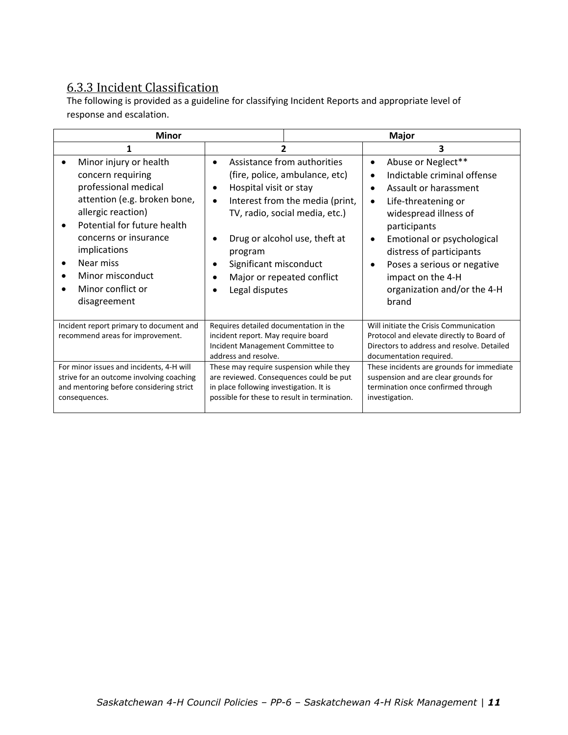## 6.3.3 Incident Classification

The following is provided as a guideline for classifying Incident Reports and appropriate level of response and escalation.

| <b>Minor</b>                                                                                                                                                                                                                                                                         |                                                                                                                                                                                                                                                                                    | <b>Major</b>                                                                                                                                                                                                                                                                                                                            |  |
|--------------------------------------------------------------------------------------------------------------------------------------------------------------------------------------------------------------------------------------------------------------------------------------|------------------------------------------------------------------------------------------------------------------------------------------------------------------------------------------------------------------------------------------------------------------------------------|-----------------------------------------------------------------------------------------------------------------------------------------------------------------------------------------------------------------------------------------------------------------------------------------------------------------------------------------|--|
|                                                                                                                                                                                                                                                                                      |                                                                                                                                                                                                                                                                                    | 3                                                                                                                                                                                                                                                                                                                                       |  |
| Minor injury or health<br>concern requiring<br>professional medical<br>attention (e.g. broken bone,<br>allergic reaction)<br>Potential for future health<br>concerns or insurance<br>implications<br>Near miss<br>$\bullet$<br>Minor misconduct<br>Minor conflict or<br>disagreement | Assistance from authorities<br>(fire, police, ambulance, etc)<br>Hospital visit or stay<br>Interest from the media (print,<br>TV, radio, social media, etc.)<br>Drug or alcohol use, theft at<br>program<br>Significant misconduct<br>Major or repeated conflict<br>Legal disputes | Abuse or Neglect**<br>$\bullet$<br>Indictable criminal offense<br>$\bullet$<br>Assault or harassment<br>Life-threatening or<br>$\bullet$<br>widespread illness of<br>participants<br>Emotional or psychological<br>distress of participants<br>Poses a serious or negative<br>impact on the 4-H<br>organization and/or the 4-H<br>brand |  |
| Incident report primary to document and<br>recommend areas for improvement.                                                                                                                                                                                                          | Requires detailed documentation in the<br>incident report. May require board<br>Incident Management Committee to<br>address and resolve.                                                                                                                                           | Will initiate the Crisis Communication<br>Protocol and elevate directly to Board of<br>Directors to address and resolve. Detailed<br>documentation required.                                                                                                                                                                            |  |
| For minor issues and incidents, 4-H will<br>strive for an outcome involving coaching<br>and mentoring before considering strict<br>consequences.                                                                                                                                     | These may require suspension while they<br>are reviewed. Consequences could be put<br>in place following investigation. It is<br>possible for these to result in termination.                                                                                                      | These incidents are grounds for immediate<br>suspension and are clear grounds for<br>termination once confirmed through<br>investigation.                                                                                                                                                                                               |  |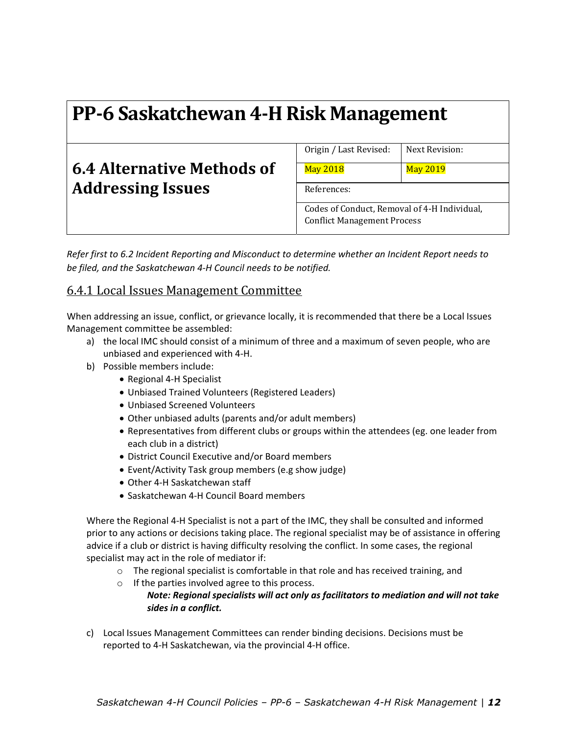## **6.4 Alternative Methods of Addressing Issues**

Origin / Last Revised: Next Revision:

May 2018 May 2019

References:

Codes of Conduct, Removal of 4-H Individual, Conflict Management Process

*Refer first to 6.2 Incident Reporting and Misconduct to determine whether an Incident Report needs to be filed, and the Saskatchewan 4‐H Council needs to be notified.* 

### 6.4.1 Local Issues Management Committee

When addressing an issue, conflict, or grievance locally, it is recommended that there be a Local Issues Management committee be assembled:

- a) the local IMC should consist of a minimum of three and a maximum of seven people, who are unbiased and experienced with 4‐H.
- b) Possible members include:
	- Regional 4-H Specialist
	- Unbiased Trained Volunteers (Registered Leaders)
	- Unbiased Screened Volunteers
	- Other unbiased adults (parents and/or adult members)
	- Representatives from different clubs or groups within the attendees (eg. one leader from each club in a district)
	- District Council Executive and/or Board members
	- Event/Activity Task group members (e.g show judge)
	- Other 4-H Saskatchewan staff
	- Saskatchewan 4-H Council Board members

Where the Regional 4‐H Specialist is not a part of the IMC, they shall be consulted and informed prior to any actions or decisions taking place. The regional specialist may be of assistance in offering advice if a club or district is having difficulty resolving the conflict. In some cases, the regional specialist may act in the role of mediator if:

- o The regional specialist is comfortable in that role and has received training, and
- o If the parties involved agree to this process. *Note: Regional specialists will act only as facilitators to mediation and will not take sides in a conflict.*
- c) Local Issues Management Committees can render binding decisions. Decisions must be reported to 4‐H Saskatchewan, via the provincial 4‐H office.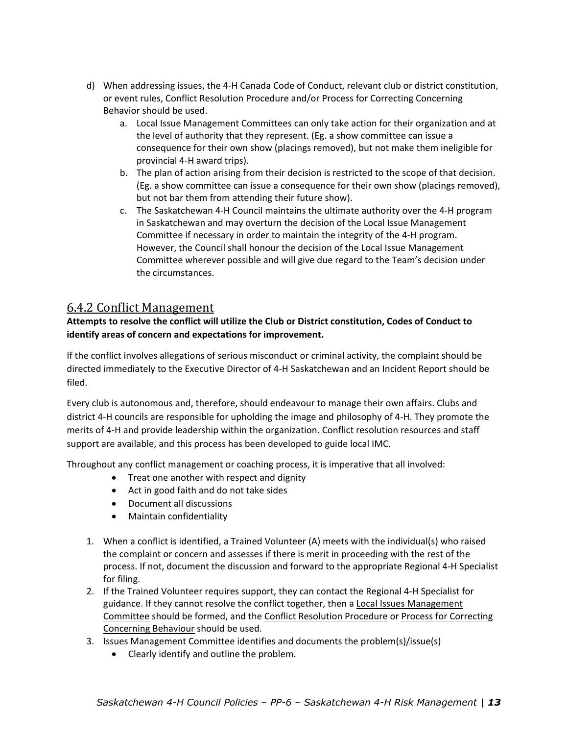- d) When addressing issues, the 4‐H Canada Code of Conduct, relevant club or district constitution, or event rules, Conflict Resolution Procedure and/or Process for Correcting Concerning Behavior should be used.
	- a. Local Issue Management Committees can only take action for their organization and at the level of authority that they represent. (Eg. a show committee can issue a consequence for their own show (placings removed), but not make them ineligible for provincial 4‐H award trips).
	- b. The plan of action arising from their decision is restricted to the scope of that decision. (Eg. a show committee can issue a consequence for their own show (placings removed), but not bar them from attending their future show).
	- c. The Saskatchewan 4‐H Council maintains the ultimate authority over the 4‐H program in Saskatchewan and may overturn the decision of the Local Issue Management Committee if necessary in order to maintain the integrity of the 4‐H program. However, the Council shall honour the decision of the Local Issue Management Committee wherever possible and will give due regard to the Team's decision under the circumstances.

#### 6.4.2 Conflict Management

#### **Attempts to resolve the conflict will utilize the Club or District constitution, Codes of Conduct to identify areas of concern and expectations for improvement.**

If the conflict involves allegations of serious misconduct or criminal activity, the complaint should be directed immediately to the Executive Director of 4‐H Saskatchewan and an Incident Report should be filed.

Every club is autonomous and, therefore, should endeavour to manage their own affairs. Clubs and district 4‐H councils are responsible for upholding the image and philosophy of 4‐H. They promote the merits of 4‐H and provide leadership within the organization. Conflict resolution resources and staff support are available, and this process has been developed to guide local IMC.

Throughout any conflict management or coaching process, it is imperative that all involved:

- Treat one another with respect and dignity
- Act in good faith and do not take sides
- Document all discussions
- Maintain confidentiality
- 1. When a conflict is identified, a Trained Volunteer (A) meets with the individual(s) who raised the complaint or concern and assesses if there is merit in proceeding with the rest of the process. If not, document the discussion and forward to the appropriate Regional 4‐H Specialist for filing.
- 2. If the Trained Volunteer requires support, they can contact the Regional 4‐H Specialist for guidance. If they cannot resolve the conflict together, then a Local Issues Management Committee should be formed, and the Conflict Resolution Procedure or Process for Correcting Concerning Behaviour should be used.
- 3. Issues Management Committee identifies and documents the problem(s)/issue(s)
	- Clearly identify and outline the problem.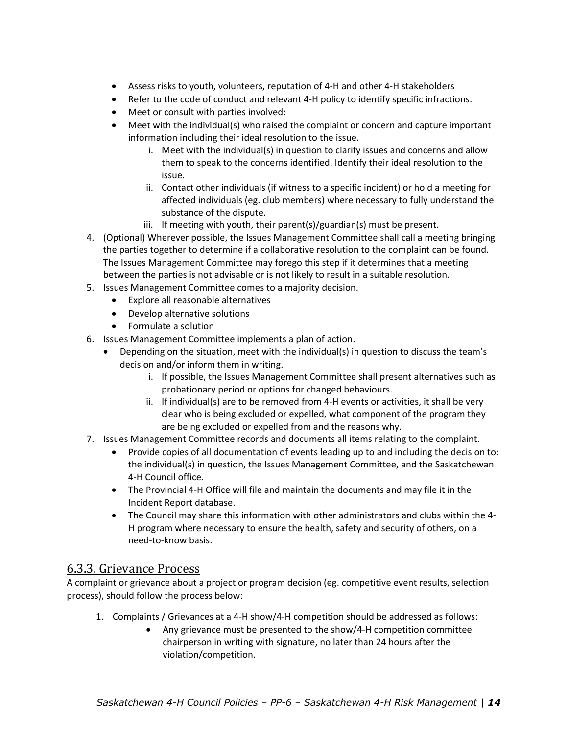- Assess risks to youth, volunteers, reputation of 4‐H and other 4‐H stakeholders
- Refer to the code of conduct and relevant 4-H policy to identify specific infractions.
- Meet or consult with parties involved:
- Meet with the individual(s) who raised the complaint or concern and capture important information including their ideal resolution to the issue.
	- i. Meet with the individual(s) in question to clarify issues and concerns and allow them to speak to the concerns identified. Identify their ideal resolution to the issue.
	- ii. Contact other individuals (if witness to a specific incident) or hold a meeting for affected individuals (eg. club members) where necessary to fully understand the substance of the dispute.
	- iii. If meeting with youth, their parent(s)/guardian(s) must be present.
- 4. (Optional) Wherever possible, the Issues Management Committee shall call a meeting bringing the parties together to determine if a collaborative resolution to the complaint can be found. The Issues Management Committee may forego this step if it determines that a meeting between the parties is not advisable or is not likely to result in a suitable resolution.
- 5. Issues Management Committee comes to a majority decision.
	- Explore all reasonable alternatives
	- Develop alternative solutions
	- Formulate a solution
- 6. Issues Management Committee implements a plan of action.
	- Depending on the situation, meet with the individual(s) in question to discuss the team's decision and/or inform them in writing.
		- i. If possible, the Issues Management Committee shall present alternatives such as probationary period or options for changed behaviours.
		- ii. If individual(s) are to be removed from 4‐H events or activities, it shall be very clear who is being excluded or expelled, what component of the program they are being excluded or expelled from and the reasons why.
- 7. Issues Management Committee records and documents all items relating to the complaint.
	- Provide copies of all documentation of events leading up to and including the decision to: the individual(s) in question, the Issues Management Committee, and the Saskatchewan 4‐H Council office.
	- The Provincial 4‐H Office will file and maintain the documents and may file it in the Incident Report database.
	- The Council may share this information with other administrators and clubs within the 4‐ H program where necessary to ensure the health, safety and security of others, on a need‐to‐know basis.

#### 6.3.3. Grievance Process

A complaint or grievance about a project or program decision (eg. competitive event results, selection process), should follow the process below:

- 1. Complaints / Grievances at a 4‐H show/4‐H competition should be addressed as follows:
	- Any grievance must be presented to the show/4‐H competition committee chairperson in writing with signature, no later than 24 hours after the violation/competition.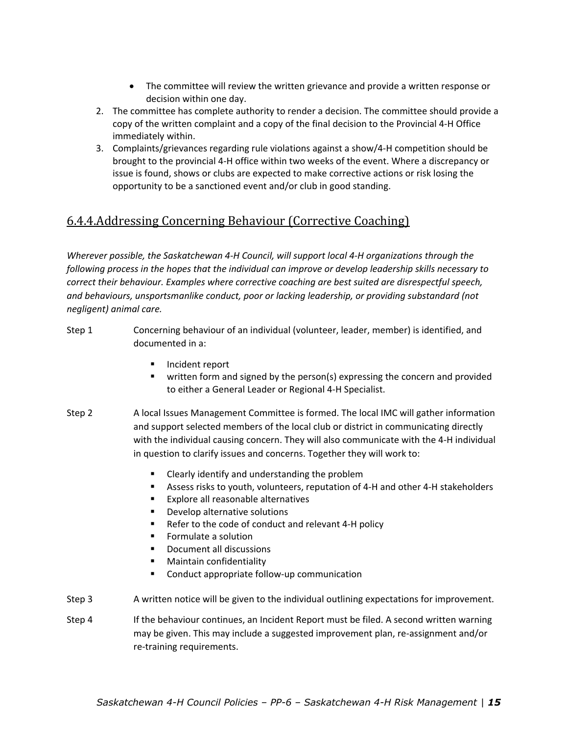- The committee will review the written grievance and provide a written response or decision within one day.
- 2. The committee has complete authority to render a decision. The committee should provide a copy of the written complaint and a copy of the final decision to the Provincial 4‐H Office immediately within.
- 3. Complaints/grievances regarding rule violations against a show/4‐H competition should be brought to the provincial 4‐H office within two weeks of the event. Where a discrepancy or issue is found, shows or clubs are expected to make corrective actions or risk losing the opportunity to be a sanctioned event and/or club in good standing.

### 6.4.4.Addressing Concerning Behaviour (Corrective Coaching)

*Wherever possible, the Saskatchewan 4‐H Council, will support local 4‐H organizations through the following process in the hopes that the individual can improve or develop leadership skills necessary to correct their behaviour. Examples where corrective coaching are best suited are disrespectful speech, and behaviours, unsportsmanlike conduct, poor or lacking leadership, or providing substandard (not negligent) animal care.* 

- Step 1 Concerning behaviour of an individual (volunteer, leader, member) is identified, and documented in a:
	- **Incident report**
	- written form and signed by the person(s) expressing the concern and provided to either a General Leader or Regional 4‐H Specialist.
- Step 2 A local Issues Management Committee is formed. The local IMC will gather information and support selected members of the local club or district in communicating directly with the individual causing concern. They will also communicate with the 4‐H individual in question to clarify issues and concerns. Together they will work to:
	- Clearly identify and understanding the problem
	- Assess risks to youth, volunteers, reputation of 4-H and other 4-H stakeholders
	- **Explore all reasonable alternatives**
	- **Develop alternative solutions**
	- Refer to the code of conduct and relevant 4-H policy
	- **Formulate a solution**
	- Document all discussions
	- Maintain confidentiality
	- Conduct appropriate follow-up communication
- Step 3 A written notice will be given to the individual outlining expectations for improvement.
- Step 4 If the behaviour continues, an Incident Report must be filed. A second written warning may be given. This may include a suggested improvement plan, re‐assignment and/or re‐training requirements.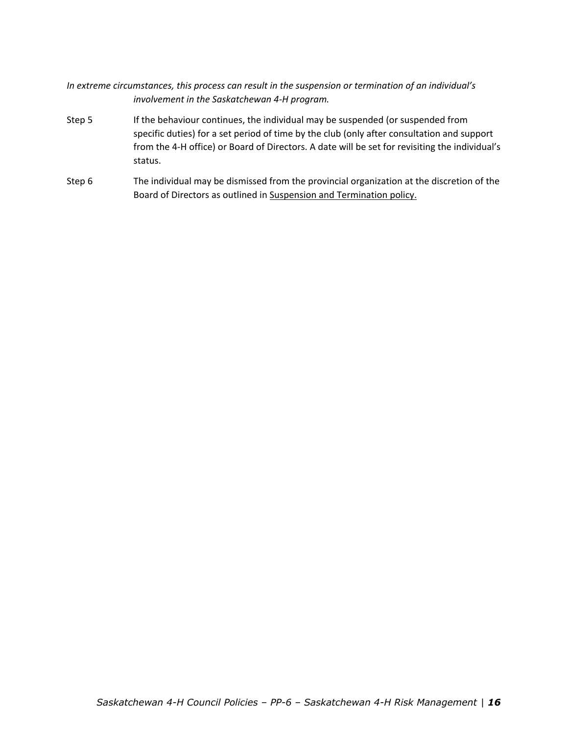#### *In extreme circumstances, this process can result in the suspension or termination of an individual's involvement in the Saskatchewan 4‐H program.*

- Step 5 If the behaviour continues, the individual may be suspended (or suspended from specific duties) for a set period of time by the club (only after consultation and support from the 4‐H office) or Board of Directors. A date will be set for revisiting the individual's status.
- Step 6 The individual may be dismissed from the provincial organization at the discretion of the Board of Directors as outlined in Suspension and Termination policy.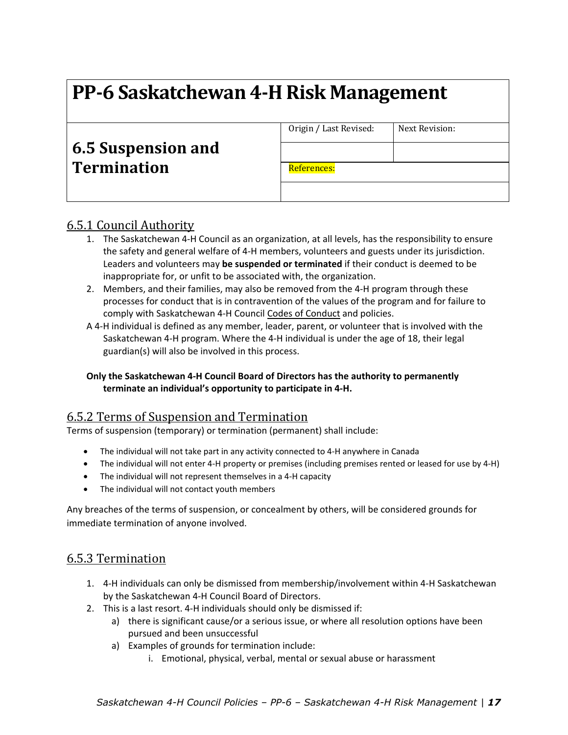|                                          | Origin / Last Revised: | Next Revision: |
|------------------------------------------|------------------------|----------------|
| 6.5 Suspension and<br><b>Termination</b> |                        |                |
|                                          | References:            |                |
|                                          |                        |                |

### 6.5.1 Council Authority

- 1. The Saskatchewan 4‐H Council as an organization, at all levels, has the responsibility to ensure the safety and general welfare of 4‐H members, volunteers and guests under its jurisdiction. Leaders and volunteers may **be suspended or terminated** if their conduct is deemed to be inappropriate for, or unfit to be associated with, the organization.
- 2. Members, and their families, may also be removed from the 4‐H program through these processes for conduct that is in contravention of the values of the program and for failure to comply with Saskatchewan 4‐H Council Codes of Conduct and policies.
- A 4‐H individual is defined as any member, leader, parent, or volunteer that is involved with the Saskatchewan 4‐H program. Where the 4‐H individual is under the age of 18, their legal guardian(s) will also be involved in this process.

#### **Only the Saskatchewan 4‐H Council Board of Directors has the authority to permanently terminate an individual's opportunity to participate in 4‐H.**

#### 6.5.2 Terms of Suspension and Termination

Terms of suspension (temporary) or termination (permanent) shall include:

- The individual will not take part in any activity connected to 4‐H anywhere in Canada
- The individual will not enter 4‐H property or premises (including premises rented or leased for use by 4‐H)
- The individual will not represent themselves in a 4‐H capacity
- The individual will not contact youth members

Any breaches of the terms of suspension, or concealment by others, will be considered grounds for immediate termination of anyone involved.

#### 6.5.3 Termination

- 1. 4‐H individuals can only be dismissed from membership/involvement within 4‐H Saskatchewan by the Saskatchewan 4‐H Council Board of Directors.
- 2. This is a last resort. 4‐H individuals should only be dismissed if:
	- a) there is significant cause/or a serious issue, or where all resolution options have been pursued and been unsuccessful
	- a) Examples of grounds for termination include:
		- i. Emotional, physical, verbal, mental or sexual abuse or harassment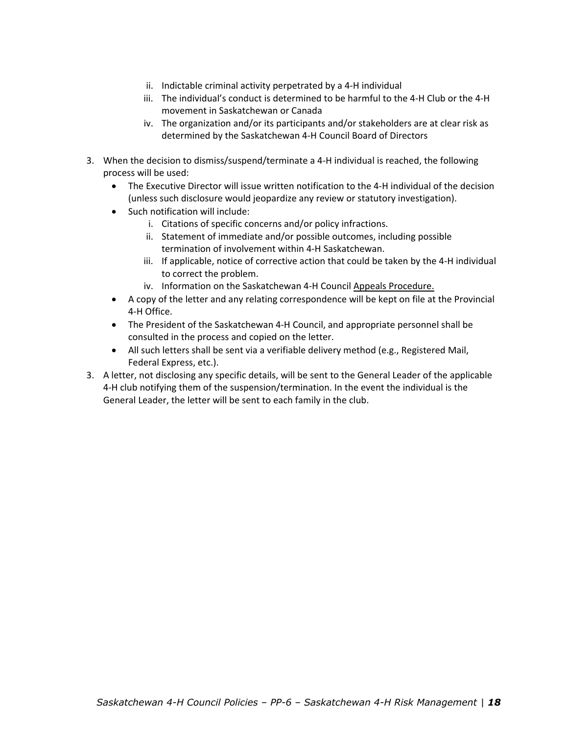- ii. Indictable criminal activity perpetrated by a 4‐H individual
- iii. The individual's conduct is determined to be harmful to the 4‐H Club or the 4‐H movement in Saskatchewan or Canada
- iv. The organization and/or its participants and/or stakeholders are at clear risk as determined by the Saskatchewan 4‐H Council Board of Directors
- 3. When the decision to dismiss/suspend/terminate a 4‐H individual is reached, the following process will be used:
	- The Executive Director will issue written notification to the 4-H individual of the decision (unless such disclosure would jeopardize any review or statutory investigation).
	- Such notification will include:
		- i. Citations of specific concerns and/or policy infractions.
		- ii. Statement of immediate and/or possible outcomes, including possible termination of involvement within 4‐H Saskatchewan.
		- iii. If applicable, notice of corrective action that could be taken by the 4‐H individual to correct the problem.
		- iv. Information on the Saskatchewan 4-H Council Appeals Procedure.
	- A copy of the letter and any relating correspondence will be kept on file at the Provincial 4‐H Office.
	- The President of the Saskatchewan 4‐H Council, and appropriate personnel shall be consulted in the process and copied on the letter.
	- All such letters shall be sent via a verifiable delivery method (e.g., Registered Mail, Federal Express, etc.).
- 3. A letter, not disclosing any specific details, will be sent to the General Leader of the applicable 4‐H club notifying them of the suspension/termination. In the event the individual is the General Leader, the letter will be sent to each family in the club.